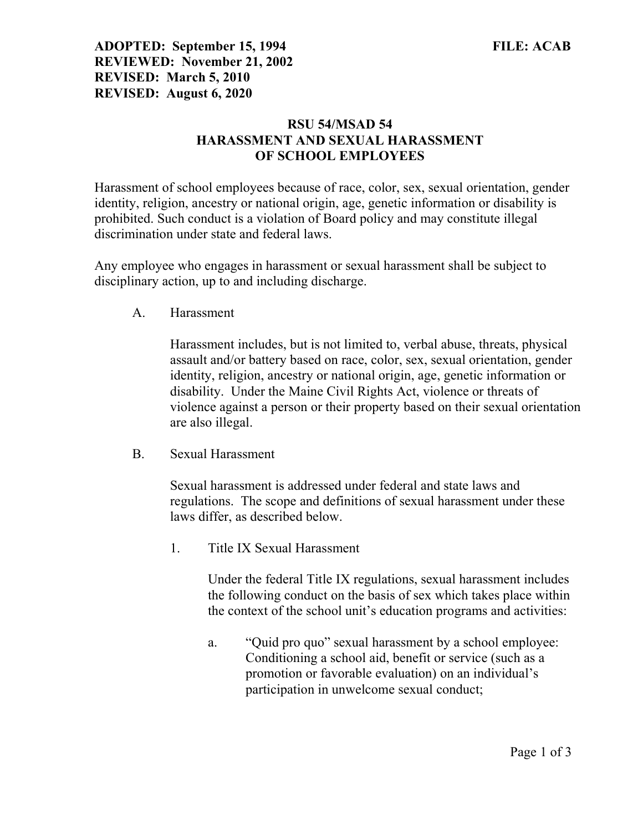ADOPTED: September 15, 1994 FILE: ACAB REVIEWED: November 21, 2002 REVISED: March 5, 2010 REVISED: August 6, 2020

## RSU 54/MSAD 54 HARASSMENT AND SEXUAL HARASSMENT OF SCHOOL EMPLOYEES

Harassment of school employees because of race, color, sex, sexual orientation, gender identity, religion, ancestry or national origin, age, genetic information or disability is prohibited. Such conduct is a violation of Board policy and may constitute illegal discrimination under state and federal laws.

Any employee who engages in harassment or sexual harassment shall be subject to disciplinary action, up to and including discharge.

A. Harassment

Harassment includes, but is not limited to, verbal abuse, threats, physical assault and/or battery based on race, color, sex, sexual orientation, gender identity, religion, ancestry or national origin, age, genetic information or disability. Under the Maine Civil Rights Act, violence or threats of violence against a person or their property based on their sexual orientation are also illegal.

B. Sexual Harassment

Sexual harassment is addressed under federal and state laws and regulations. The scope and definitions of sexual harassment under these laws differ, as described below.

1. Title IX Sexual Harassment

Under the federal Title IX regulations, sexual harassment includes the following conduct on the basis of sex which takes place within the context of the school unit's education programs and activities:

a. "Quid pro quo" sexual harassment by a school employee: Conditioning a school aid, benefit or service (such as a promotion or favorable evaluation) on an individual's participation in unwelcome sexual conduct;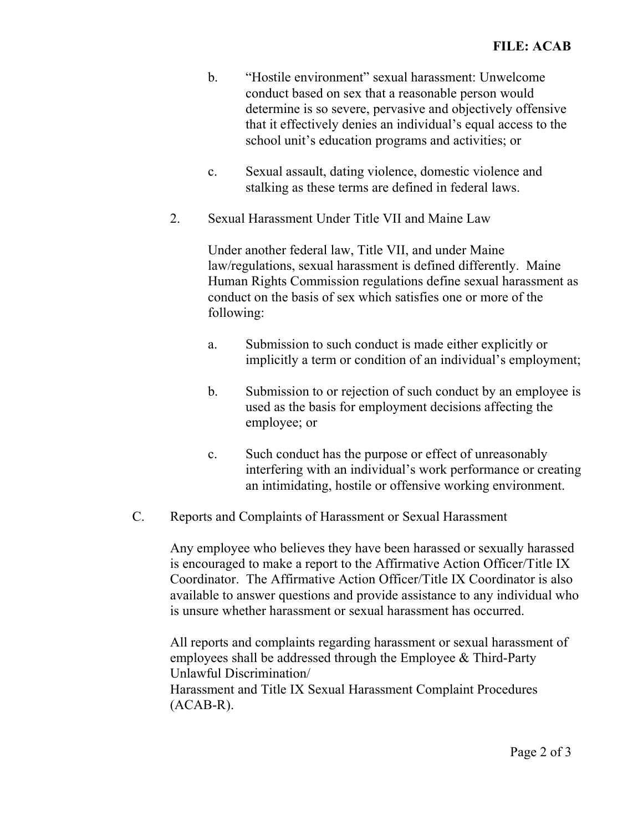- b. "Hostile environment" sexual harassment: Unwelcome conduct based on sex that a reasonable person would determine is so severe, pervasive and objectively offensive that it effectively denies an individual's equal access to the school unit's education programs and activities; or
- c. Sexual assault, dating violence, domestic violence and stalking as these terms are defined in federal laws.
- 2. Sexual Harassment Under Title VII and Maine Law

Under another federal law, Title VII, and under Maine law/regulations, sexual harassment is defined differently. Maine Human Rights Commission regulations define sexual harassment as conduct on the basis of sex which satisfies one or more of the following:

- a. Submission to such conduct is made either explicitly or implicitly a term or condition of an individual's employment;
- b. Submission to or rejection of such conduct by an employee is used as the basis for employment decisions affecting the employee; or
- c. Such conduct has the purpose or effect of unreasonably interfering with an individual's work performance or creating an intimidating, hostile or offensive working environment.
- C. Reports and Complaints of Harassment or Sexual Harassment

Any employee who believes they have been harassed or sexually harassed is encouraged to make a report to the Affirmative Action Officer/Title IX Coordinator. The Affirmative Action Officer/Title IX Coordinator is also available to answer questions and provide assistance to any individual who is unsure whether harassment or sexual harassment has occurred.

All reports and complaints regarding harassment or sexual harassment of employees shall be addressed through the Employee & Third-Party Unlawful Discrimination/ Harassment and Title IX Sexual Harassment Complaint Procedures (ACAB-R).